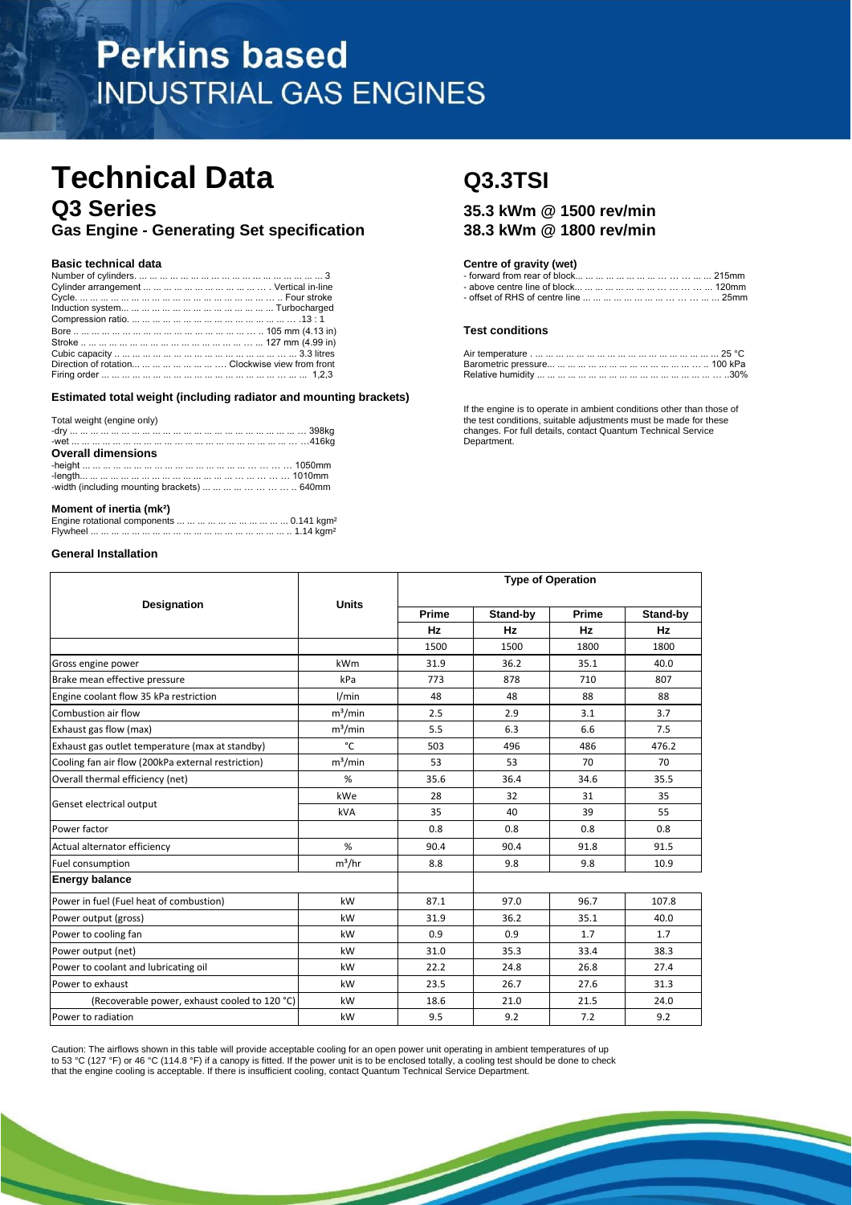# **Perkins based INDUSTRIAL GAS ENGINES**

## **Technical Data Q3.3TSI Q3 Series 35.3 kWm @ 1500 rev/min**

**Gas Engine - Generating Set specification 38.3 kWm @ 1800 rev/min**

|                                                        | <b>Test conditions</b> |  |
|--------------------------------------------------------|------------------------|--|
|                                                        |                        |  |
|                                                        |                        |  |
| Direction of rotation        Clockwise view from front |                        |  |
|                                                        |                        |  |

**Estimated total weight (including radiator and mounting brackets)**

| Total weight (engine only)<br><b>Overall dimensions</b> |  |
|---------------------------------------------------------|--|
|                                                         |  |
|                                                         |  |
|                                                         |  |
| -width (including mounting brackets)         640mm      |  |
|                                                         |  |
|                                                         |  |

## **Moment of inertia (mk²)**

## **General Installation**

### **Basic technical data Centre of gravity (wet) Centre of gravity (wet)**

| Number                         | rear of block              |
|--------------------------------|----------------------------|
| .        .                     | . omm                      |
| Cvlinder arrangemer            | above centre line of block |
| angement                       | 20mm                       |
| Cvcle.<br>⊢our.<br>SILOK.<br>. | '5mm                       |

#### Bore .. ... ... ... ... ... ... ... ... ... ... ... ... ... ... ... ... … .. 105 mm (4.13 in) **Test conditions**

| Cubic capacity.                                        |                                                                                                                                                                                                                                |  |
|--------------------------------------------------------|--------------------------------------------------------------------------------------------------------------------------------------------------------------------------------------------------------------------------------|--|
| Direction of rotation        Clockwise view from front | Barometric pressure in the contract of the contract of the contract of the contract of the contract of the contract of the contract of the contract of the contract of the contract of the contract of the contract of the con |  |
| Firing order                                           | $30\%$<br>Relative humidity                                                                                                                                                                                                    |  |

If the engine is to operate in ambient conditions other than those of the test conditions, suitable adjustments must be made for these changes. For full details, contact Quantum Technical Service Department.

| Designation                                        | <b>Units</b> | Prime     | Stand-by | Prime     | Stand-by |
|----------------------------------------------------|--------------|-----------|----------|-----------|----------|
|                                                    |              | <b>Hz</b> | Hz       | <b>Hz</b> | Hz       |
|                                                    |              | 1500      | 1500     | 1800      | 1800     |
| Gross engine power                                 | kWm          | 31.9      | 36.2     | 35.1      | 40.0     |
| Brake mean effective pressure                      | kPa          | 773       | 878      | 710       | 807      |
| Engine coolant flow 35 kPa restriction             | 1/min        | 48        | 48       | 88        | 88       |
| Combustion air flow                                | $m^3/m$ in   | 2.5       | 2.9      | 3.1       | 3.7      |
| Exhaust gas flow (max)                             | $m^3/m$ in   | 5.5       | 6.3      | 6.6       | 7.5      |
| Exhaust gas outlet temperature (max at standby)    | °C           | 503       | 496      | 486       | 476.2    |
| Cooling fan air flow (200kPa external restriction) | $m^3/m$ in   | 53        | 53       | 70        | 70       |
| Overall thermal efficiency (net)                   | %            | 35.6      | 36.4     | 34.6      | 35.5     |
|                                                    | kWe          | 28        | 32       | 31        | 35       |
| Genset electrical output                           | kVA          | 35        | 40       | 39        | 55       |
| Power factor                                       |              | 0.8       | 0.8      | 0.8       | 0.8      |
| Actual alternator efficiency                       | %            | 90.4      | 90.4     | 91.8      | 91.5     |
| Fuel consumption                                   | $m^3/hr$     | 8.8       | 9.8      | 9.8       | 10.9     |
| <b>Energy balance</b>                              |              |           |          |           |          |
| Power in fuel (Fuel heat of combustion)            | kW           | 87.1      | 97.0     | 96.7      | 107.8    |
| Power output (gross)                               | kW           | 31.9      | 36.2     | 35.1      | 40.0     |
| Power to cooling fan                               | kW           | 0.9       | 0.9      | 1.7       | 1.7      |
| Power output (net)                                 | kW           | 31.0      | 35.3     | 33.4      | 38.3     |
| Power to coolant and lubricating oil               | kW           | 22.2      | 24.8     | 26.8      | 27.4     |
| Power to exhaust                                   | kW           | 23.5      | 26.7     | 27.6      | 31.3     |
| (Recoverable power, exhaust cooled to 120 °C)      | kW           | 18.6      | 21.0     | 21.5      | 24.0     |
| Power to radiation                                 | kW           | 9.5       | 9.2      | 7.2       | 9.2      |

Caution: The airflows shown in this table will provide acceptable cooling for an open power unit operating in ambient temperatures of up<br>to 53 °C (127 °F) or 46 °C (114.8 °F) if a canopy is fitted. If the power unit is to that the engine cooling is acceptable. If there is insufficient cooling, contact Quantum Technical Service Department.